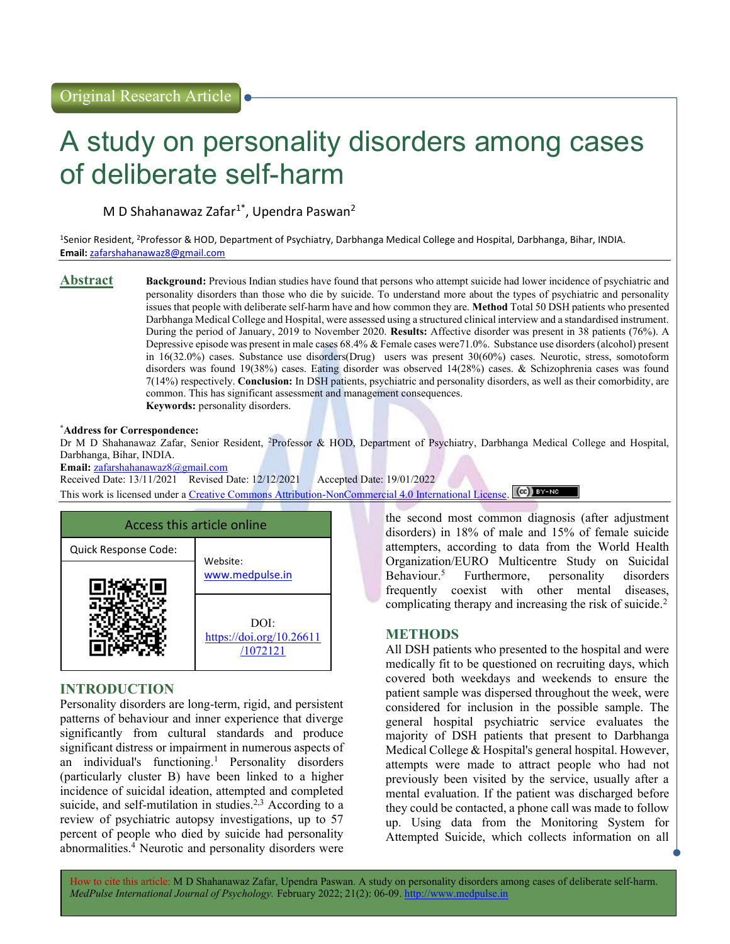# A study on personality disorders among cases of deliberate self-harm

M D Shahanawaz Zafar $1^*$ , Upendra Paswan<sup>2</sup>

<sup>1</sup>Senior Resident, <sup>2</sup>Professor & HOD, Department of Psychiatry, Darbhanga Medical College and Hospital, Darbhanga, Bihar, INDIA. Email: zafarshahanawaz8@gmail.com

**Abstract** Background: Previous Indian studies have found that persons who attempt suicide had lower incidence of psychiatric and personality disorders than those who die by suicide. To understand more about the types of psychiatric and personality issues that people with deliberate self-harm have and how common they are. Method Total 50 DSH patients who presented Darbhanga Medical College and Hospital, were assessed using a structured clinical interview and a standardised instrument. During the period of January, 2019 to November 2020. Results: Affective disorder was present in 38 patients (76%). A Depressive episode was present in male cases 68.4% & Female cases were71.0%. Substance use disorders (alcohol) present in 16(32.0%) cases. Substance use disorders(Drug) users was present 30(60%) cases. Neurotic, stress, somotoform disorders was found 19(38%) cases. Eating disorder was observed 14(28%) cases. & Schizophrenia cases was found 7(14%) respectively. Conclusion: In DSH patients, psychiatric and personality disorders, as well as their comorbidity, are common. This has significant assessment and management consequences. Keywords: personality disorders.

#### \*Address for Correspondence:

Dr M D Shahanawaz Zafar, Senior Resident, <sup>2</sup>Professor & HOD, Department of Psychiatry, Darbhanga Medical College and Hospital, Darbhanga, Bihar, INDIA.

Email: zafarshahanawaz8@gmail.com

Received Date: 13/11/2021 Revised Date: 12/12/2021 Accepted Date: 19/01/2022 This work is licensed under a Creative Commons Attribution-NonCommercial 4.0 International License. (CC) BY-NO



# INTRODUCTION

Personality disorders are long-term, rigid, and persistent patterns of behaviour and inner experience that diverge significantly from cultural standards and produce significant distress or impairment in numerous aspects of an individual's functioning.<sup>1</sup> Personality disorders (particularly cluster B) have been linked to a higher incidence of suicidal ideation, attempted and completed suicide, and self-mutilation in studies.<sup>2,3</sup> According to a review of psychiatric autopsy investigations, up to 57 percent of people who died by suicide had personality abnormalities.<sup>4</sup> Neurotic and personality disorders were the second most common diagnosis (after adjustment disorders) in 18% of male and 15% of female suicide attempters, according to data from the World Health Organization/EURO Multicentre Study on Suicidal Behaviour.<sup>5</sup> Furthermore, personality disorders frequently coexist with other mental diseases, complicating therapy and increasing the risk of suicide.<sup>2</sup>

# METHODS

All DSH patients who presented to the hospital and were medically fit to be questioned on recruiting days, which covered both weekdays and weekends to ensure the patient sample was dispersed throughout the week, were considered for inclusion in the possible sample. The general hospital psychiatric service evaluates the majority of DSH patients that present to Darbhanga Medical College & Hospital's general hospital. However, attempts were made to attract people who had not previously been visited by the service, usually after a mental evaluation. If the patient was discharged before they could be contacted, a phone call was made to follow up. Using data from the Monitoring System for Attempted Suicide, which collects information on all

How to cite this article: M D Shahanawaz Zafar, Upendra Paswan. A study on personality disorders among cases of deliberate self-harm. MedPulse International Journal of Psychology. February 2022; 21(2): 06-09. http://www.medpulse.in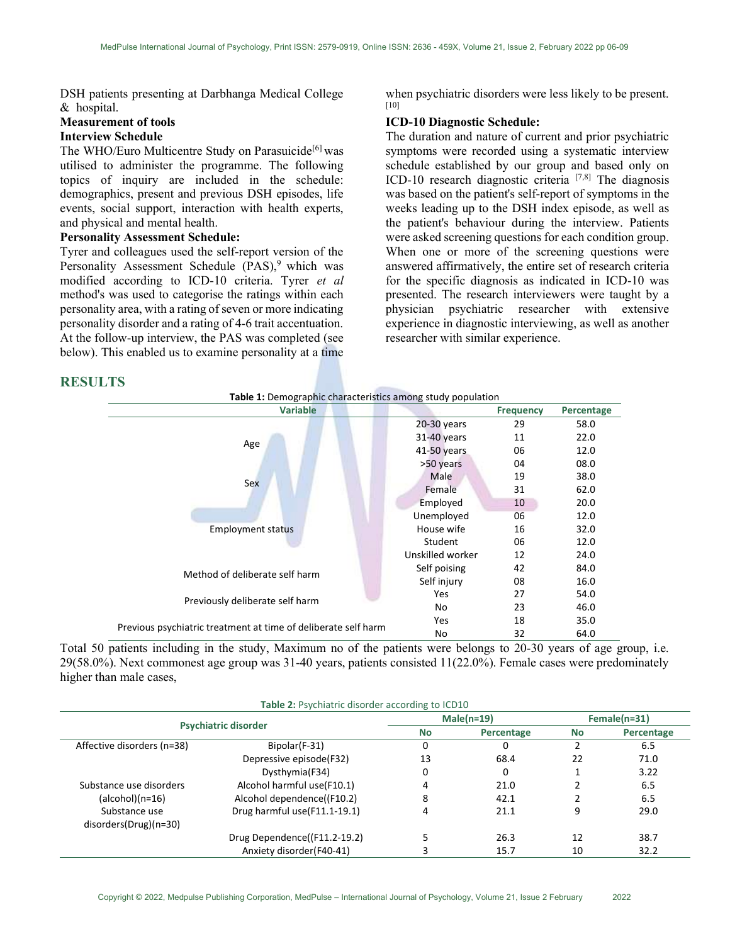DSH patients presenting at Darbhanga Medical College & hospital.

# Measurement of tools Interview Schedule

The WHO/Euro Multicentre Study on Parasuicide<sup>[6]</sup> was utilised to administer the programme. The following topics of inquiry are included in the schedule: demographics, present and previous DSH episodes, life events, social support, interaction with health experts, and physical and mental health.

#### Personality Assessment Schedule:

Tyrer and colleagues used the self-report version of the Personality Assessment Schedule (PAS),<sup>9</sup> which was modified according to ICD-10 criteria. Tyrer et al method's was used to categorise the ratings within each personality area, with a rating of seven or more indicating personality disorder and a rating of 4-6 trait accentuation. At the follow-up interview, the PAS was completed (see below). This enabled us to examine personality at a time

when psychiatric disorders were less likely to be present. [10]

### ICD-10 Diagnostic Schedule:

The duration and nature of current and prior psychiatric symptoms were recorded using a systematic interview schedule established by our group and based only on ICD-10 research diagnostic criteria [7,8] The diagnosis was based on the patient's self-report of symptoms in the weeks leading up to the DSH index episode, as well as the patient's behaviour during the interview. Patients were asked screening questions for each condition group. When one or more of the screening questions were answered affirmatively, the entire set of research criteria for the specific diagnosis as indicated in ICD-10 was presented. The research interviewers were taught by a physician psychiatric researcher with extensive experience in diagnostic interviewing, as well as another researcher with similar experience.

# RESULTS

| <b>Variable</b>                                                |                  | <b>Frequency</b> | Percentage |
|----------------------------------------------------------------|------------------|------------------|------------|
|                                                                | $20-30$ years    | 29               | 58.0       |
|                                                                | 31-40 years      | 11               | 22.0       |
| Age                                                            | 41-50 years      | 06               | 12.0       |
|                                                                | >50 years        | 04               | 08.0       |
| Sex                                                            | Male             | 19               | 38.0       |
|                                                                | Female           | 31               | 62.0       |
|                                                                | Employed         | 10               | 20.0       |
|                                                                | Unemployed       | 06               | 12.0       |
| <b>Employment status</b>                                       | House wife       | 16               | 32.0       |
|                                                                | Student          | 06               | 12.0       |
|                                                                | Unskilled worker | 12               | 24.0       |
| Method of deliberate self harm                                 | Self poising     | 42               | 84.0       |
|                                                                | Self injury      | 08               | 16.0       |
|                                                                | Yes              | 27               | 54.0       |
| Previously deliberate self harm                                | No               | 23               | 46.0       |
|                                                                | <b>Yes</b>       | 18               | 35.0       |
| Previous psychiatric treatment at time of deliberate self harm | No               | 32               | 64.0       |

Total 50 patients including in the study, Maximum no of the patients were belongs to 20-30 years of age group, i.e. 29(58.0%). Next commonest age group was 31-40 years, patients consisted 11(22.0%). Female cases were predominately higher than male cases,

| Table 2: Psychiatric disorder according to ICD10 |                              |              |            |                |            |  |  |  |
|--------------------------------------------------|------------------------------|--------------|------------|----------------|------------|--|--|--|
| <b>Psychiatric disorder</b>                      |                              | $Male(n=19)$ |            | $Female(n=31)$ |            |  |  |  |
|                                                  |                              | <b>No</b>    | Percentage | No             | Percentage |  |  |  |
| Affective disorders (n=38)                       | Bipolar(F-31)                | 0            | 0          |                | 6.5        |  |  |  |
|                                                  | Depressive episode(F32)      | 13           | 68.4       | 22             | 71.0       |  |  |  |
|                                                  | Dysthymia(F34)               | 0            | 0          |                | 3.22       |  |  |  |
| Substance use disorders                          | Alcohol harmful use(F10.1)   |              | 21.0       |                | 6.5        |  |  |  |
| $(alcbol)(n=16)$                                 | Alcohol dependence((F10.2)   | 8            | 42.1       |                | 6.5        |  |  |  |
| Substance use                                    | Drug harmful use(F11.1-19.1) |              | 21.1       | 9              | 29.0       |  |  |  |
| $disorders(Drug)(n=30)$                          |                              |              |            |                |            |  |  |  |
|                                                  | Drug Dependence((F11.2-19.2) |              | 26.3       | 12             | 38.7       |  |  |  |
|                                                  | Anxiety disorder (F40-41)    |              | 15.7       | 10             | 32.2       |  |  |  |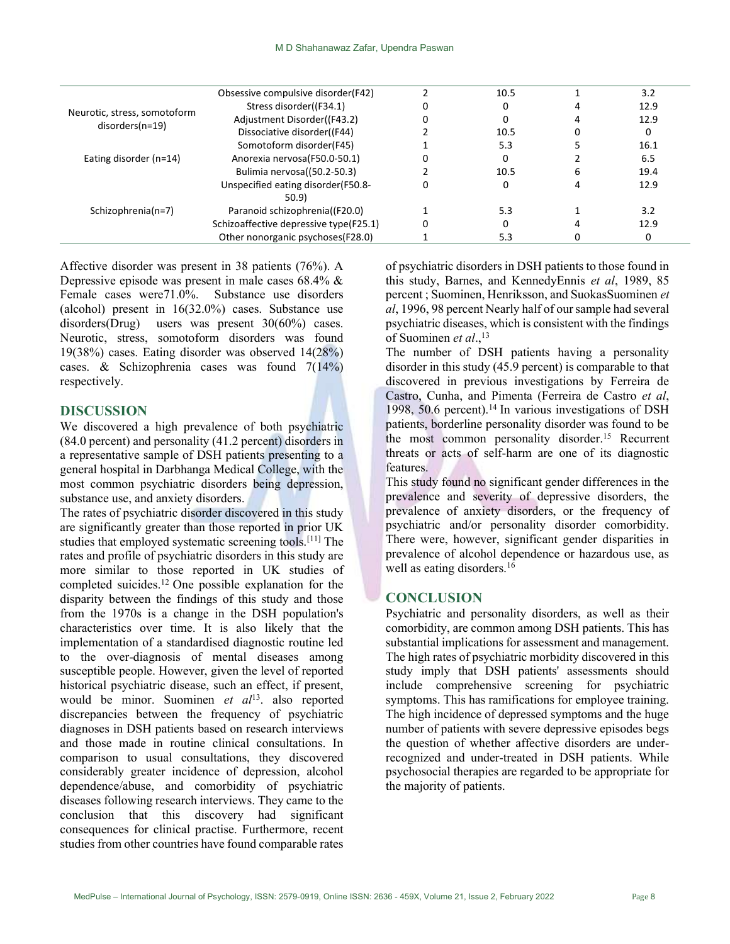| Neurotic, stress, somotoform<br>disorders(n=19) | Obsessive compulsive disorder(F42)     | 10.5 |   | 3.2  |  |
|-------------------------------------------------|----------------------------------------|------|---|------|--|
|                                                 | Stress disorder((F34.1)                |      |   | 12.9 |  |
|                                                 | Adjustment Disorder((F43.2)            |      |   | 12.9 |  |
|                                                 | Dissociative disorder((F44)            | 10.5 |   | 0    |  |
|                                                 | Somotoform disorder(F45)               | 5.3  |   | 16.1 |  |
| Eating disorder $(n=14)$                        | Anorexia nervosa(F50.0-50.1)           |      |   | 6.5  |  |
|                                                 | Bulimia nervosa((50.2-50.3)            | 10.5 | 6 | 19.4 |  |
|                                                 | Unspecified eating disorder(F50.8-     |      |   | 12.9 |  |
| Schizophrenia(n=7)                              | 50.9                                   |      |   |      |  |
|                                                 | Paranoid schizophrenia((F20.0)         | 5.3  |   | 3.2  |  |
|                                                 | Schizoaffective depressive type(F25.1) |      |   | 12.9 |  |
|                                                 | Other nonorganic psychoses(F28.0)      | 5.3  |   | 0    |  |
|                                                 |                                        |      |   |      |  |

Affective disorder was present in 38 patients (76%). A Depressive episode was present in male cases 68.4% & Female cases were71.0%. Substance use disorders (alcohol) present in 16(32.0%) cases. Substance use disorders(Drug) users was present 30(60%) cases. Neurotic, stress, somotoform disorders was found 19(38%) cases. Eating disorder was observed 14(28%) cases. & Schizophrenia cases was found 7(14%) respectively.

### DISCUSSION

We discovered a high prevalence of both psychiatric (84.0 percent) and personality (41.2 percent) disorders in a representative sample of DSH patients presenting to a general hospital in Darbhanga Medical College, with the most common psychiatric disorders being depression, substance use, and anxiety disorders.

The rates of psychiatric disorder discovered in this study are significantly greater than those reported in prior UK studies that employed systematic screening tools.[11] The rates and profile of psychiatric disorders in this study are more similar to those reported in UK studies of completed suicides.<sup>12</sup> One possible explanation for the disparity between the findings of this study and those from the 1970s is a change in the DSH population's characteristics over time. It is also likely that the implementation of a standardised diagnostic routine led to the over-diagnosis of mental diseases among susceptible people. However, given the level of reported historical psychiatric disease, such an effect, if present, would be minor. Suominen et  $al<sup>13</sup>$ . also reported discrepancies between the frequency of psychiatric diagnoses in DSH patients based on research interviews and those made in routine clinical consultations. In comparison to usual consultations, they discovered considerably greater incidence of depression, alcohol dependence/abuse, and comorbidity of psychiatric diseases following research interviews. They came to the conclusion that this discovery had significant consequences for clinical practise. Furthermore, recent studies from other countries have found comparable rates

of psychiatric disorders in DSH patients to those found in this study, Barnes, and KennedyEnnis et al, 1989, 85 percent ; Suominen, Henriksson, and SuokasSuominen et al, 1996, 98 percent Nearly half of our sample had several psychiatric diseases, which is consistent with the findings of Suominen et al.,<sup>13</sup>

The number of DSH patients having a personality disorder in this study (45.9 percent) is comparable to that discovered in previous investigations by Ferreira de Castro, Cunha, and Pimenta (Ferreira de Castro et al, 1998, 50.6 percent).<sup>14</sup> In various investigations of DSH patients, borderline personality disorder was found to be the most common personality disorder.<sup>15</sup> Recurrent threats or acts of self-harm are one of its diagnostic features.

This study found no significant gender differences in the prevalence and severity of depressive disorders, the prevalence of anxiety disorders, or the frequency of psychiatric and/or personality disorder comorbidity. There were, however, significant gender disparities in prevalence of alcohol dependence or hazardous use, as well as eating disorders.<sup>16</sup>

#### **CONCLUSION**

Psychiatric and personality disorders, as well as their comorbidity, are common among DSH patients. This has substantial implications for assessment and management. The high rates of psychiatric morbidity discovered in this study imply that DSH patients' assessments should include comprehensive screening for psychiatric symptoms. This has ramifications for employee training. The high incidence of depressed symptoms and the huge number of patients with severe depressive episodes begs the question of whether affective disorders are underrecognized and under-treated in DSH patients. While psychosocial therapies are regarded to be appropriate for the majority of patients.